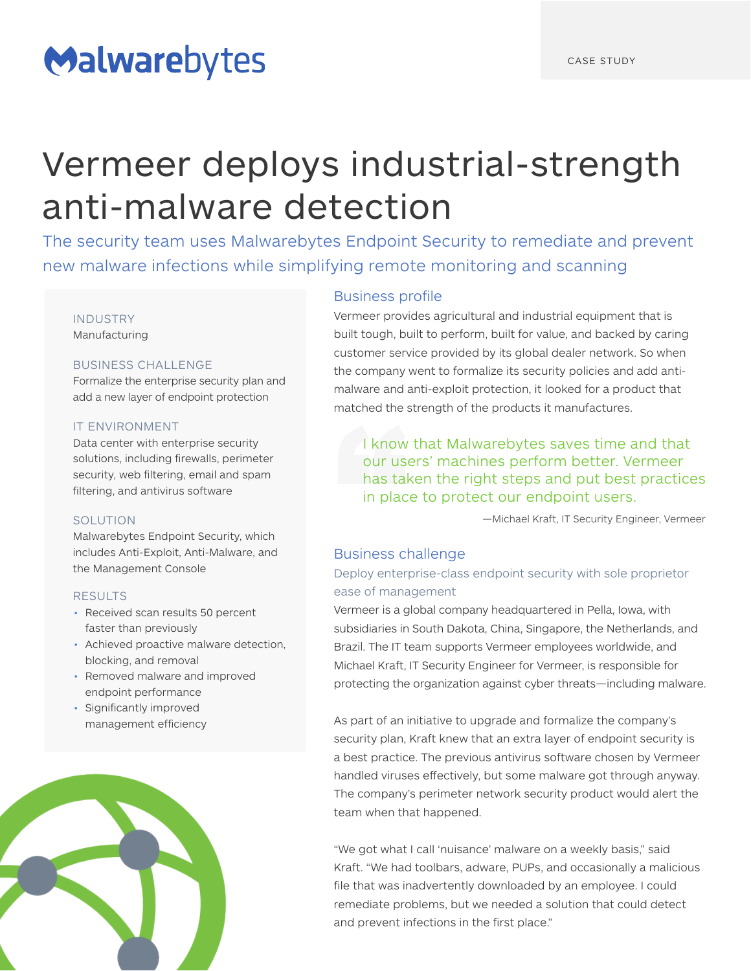# Malwarebytes

# Vermeer deploys industrial-strength anti-malware detection

The security team uses Malwarebytes Endpoint Security to remediate and prevent new malware infections while simplifying remote monitoring and scanning

# INDUSTRY

Manufacturing

## BUSINESS CHALLENGE

Formalize the enterprise security plan and add a new layer of endpoint protection

### IT ENVIRONMENT

Data center with enterprise security solutions, including firewalls, perimeter security, web filtering, email and spam filtering, and antivirus software

### SOLUTION

Malwarebytes Endpoint Security, which includes Anti-Exploit, Anti-Malware, and the Management Console

### RESULTS

- Received scan results 50 percent faster than previously
- Achieved proactive malware detection, blocking, and removal
- Removed malware and improved endpoint performance
- Significantly improved management efficiency



# Business profile

Vermeer provides agricultural and industrial equipment that is built tough, built to perform, built for value, and backed by caring customer service provided by its global dealer network. So when the company went to formalize its security policies and add antimalware and anti-exploit protection, it looked for a product that matched the strength of the products it manufactures.

I know that Malwarebytes saves time and that our users' machines perform better. Vermeer has taken the right steps and put best practices in place to protect our endpoint users.

—Michael Kraft, IT Security Engineer, Vermeer

# Business challenge

# Deploy enterprise-class endpoint security with sole proprietor ease of management

Vermeer is a global company headquartered in Pella, Iowa, with subsidiaries in South Dakota, China, Singapore, the Netherlands, and Brazil. The IT team supports Vermeer employees worldwide, and Michael Kraft, IT Security Engineer for Vermeer, is responsible for protecting the organization against cyber threats—including malware.

As part of an initiative to upgrade and formalize the company's security plan, Kraft knew that an extra layer of endpoint security is a best practice. The previous antivirus software chosen by Vermeer handled viruses effectively, but some malware got through anyway. The company's perimeter network security product would alert the team when that happened.

"We got what I call 'nuisance' malware on a weekly basis," said Kraft. "We had toolbars, adware, PUPs, and occasionally a malicious file that was inadvertently downloaded by an employee. I could remediate problems, but we needed a solution that could detect and prevent infections in the first place."